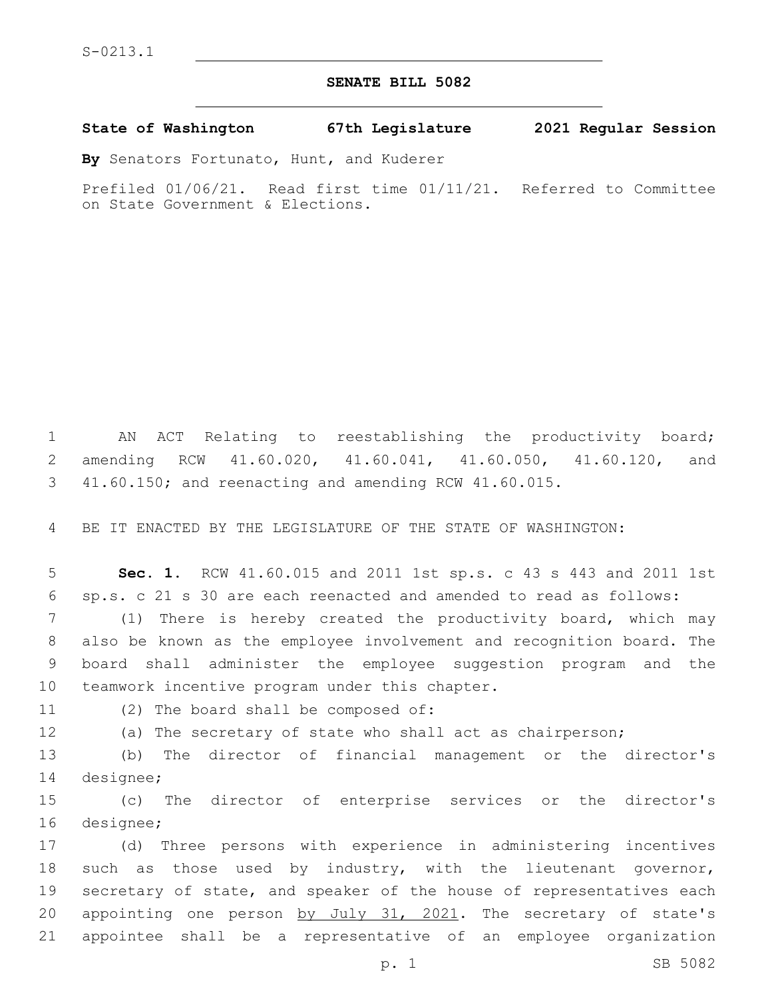## **SENATE BILL 5082**

**State of Washington 67th Legislature 2021 Regular Session**

**By** Senators Fortunato, Hunt, and Kuderer

Prefiled 01/06/21. Read first time 01/11/21. Referred to Committee on State Government & Elections.

1 AN ACT Relating to reestablishing the productivity board; 2 amending RCW 41.60.020, 41.60.041, 41.60.050, 41.60.120, and 3 41.60.150; and reenacting and amending RCW 41.60.015.

4 BE IT ENACTED BY THE LEGISLATURE OF THE STATE OF WASHINGTON:

5 **Sec. 1.** RCW 41.60.015 and 2011 1st sp.s. c 43 s 443 and 2011 1st 6 sp.s. c 21 s 30 are each reenacted and amended to read as follows:

 (1) There is hereby created the productivity board, which may also be known as the employee involvement and recognition board. The board shall administer the employee suggestion program and the 10 teamwork incentive program under this chapter.

11 (2) The board shall be composed of:

12 (a) The secretary of state who shall act as chairperson;

13 (b) The director of financial management or the director's 14 designee;

15 (c) The director of enterprise services or the director's 16 designee;

 (d) Three persons with experience in administering incentives such as those used by industry, with the lieutenant governor, secretary of state, and speaker of the house of representatives each 20 appointing one person by July 31, 2021. The secretary of state's appointee shall be a representative of an employee organization

p. 1 SB 5082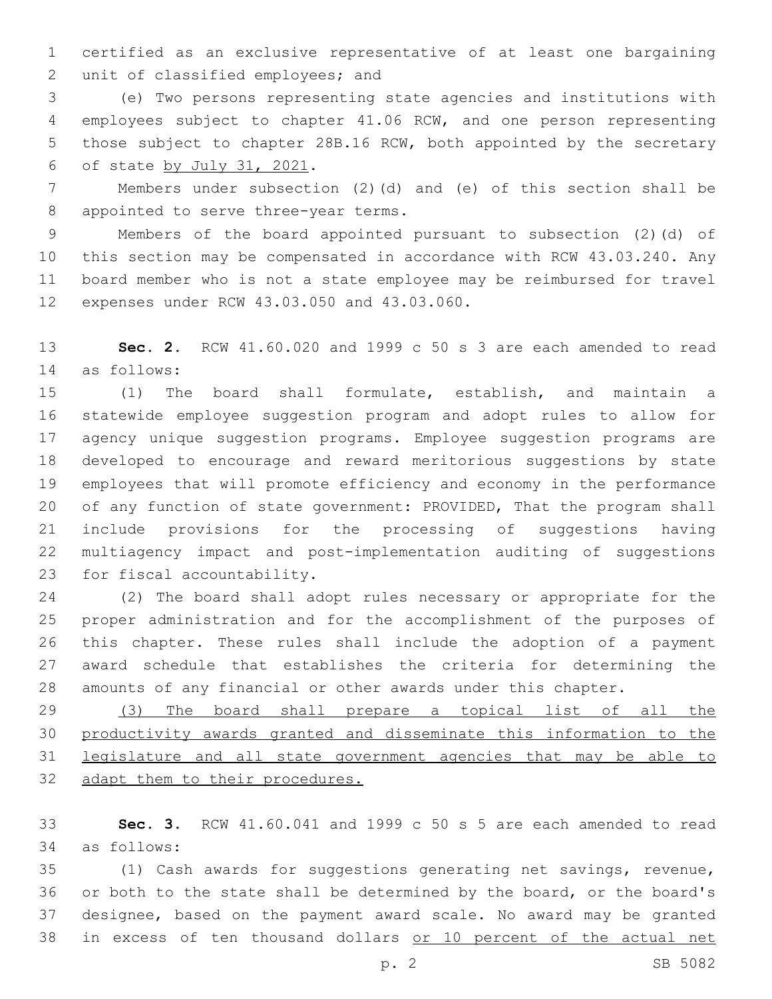certified as an exclusive representative of at least one bargaining 2 unit of classified employees; and

 (e) Two persons representing state agencies and institutions with employees subject to chapter 41.06 RCW, and one person representing those subject to chapter 28B.16 RCW, both appointed by the secretary 6 of state by July 31, 2021.

 Members under subsection (2)(d) and (e) of this section shall be 8 appointed to serve three-year terms.

 Members of the board appointed pursuant to subsection (2)(d) of this section may be compensated in accordance with RCW 43.03.240. Any board member who is not a state employee may be reimbursed for travel 12 expenses under RCW 43.03.050 and 43.03.060.

 **Sec. 2.** RCW 41.60.020 and 1999 c 50 s 3 are each amended to read as follows:14

 (1) The board shall formulate, establish, and maintain a statewide employee suggestion program and adopt rules to allow for agency unique suggestion programs. Employee suggestion programs are developed to encourage and reward meritorious suggestions by state employees that will promote efficiency and economy in the performance 20 of any function of state government: PROVIDED, That the program shall include provisions for the processing of suggestions having multiagency impact and post-implementation auditing of suggestions 23 for fiscal accountability.

 (2) The board shall adopt rules necessary or appropriate for the proper administration and for the accomplishment of the purposes of this chapter. These rules shall include the adoption of a payment award schedule that establishes the criteria for determining the amounts of any financial or other awards under this chapter.

 (3) The board shall prepare a topical list of all the productivity awards granted and disseminate this information to the legislature and all state government agencies that may be able to 32 adapt them to their procedures.

 **Sec. 3.** RCW 41.60.041 and 1999 c 50 s 5 are each amended to read as follows:34

 (1) Cash awards for suggestions generating net savings, revenue, or both to the state shall be determined by the board, or the board's designee, based on the payment award scale. No award may be granted in excess of ten thousand dollars or 10 percent of the actual net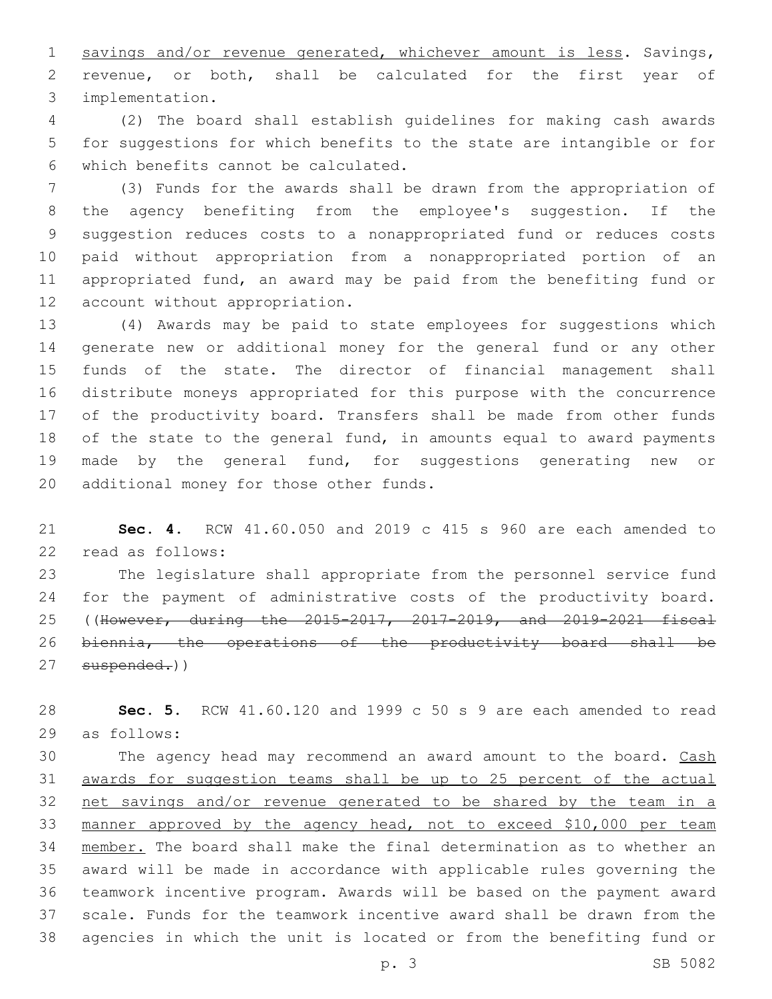1 savings and/or revenue generated, whichever amount is less. Savings, revenue, or both, shall be calculated for the first year of implementation.3

 (2) The board shall establish guidelines for making cash awards for suggestions for which benefits to the state are intangible or for which benefits cannot be calculated.6

 (3) Funds for the awards shall be drawn from the appropriation of the agency benefiting from the employee's suggestion. If the suggestion reduces costs to a nonappropriated fund or reduces costs paid without appropriation from a nonappropriated portion of an appropriated fund, an award may be paid from the benefiting fund or 12 account without appropriation.

 (4) Awards may be paid to state employees for suggestions which generate new or additional money for the general fund or any other funds of the state. The director of financial management shall distribute moneys appropriated for this purpose with the concurrence of the productivity board. Transfers shall be made from other funds of the state to the general fund, in amounts equal to award payments made by the general fund, for suggestions generating new or 20 additional money for those other funds.

 **Sec. 4.** RCW 41.60.050 and 2019 c 415 s 960 are each amended to 22 read as follows:

 The legislature shall appropriate from the personnel service fund for the payment of administrative costs of the productivity board. ((However, during the 2015-2017, 2017-2019, and 2019-2021 fiscal biennia, the operations of the productivity board shall be 27 suspended.))

 **Sec. 5.** RCW 41.60.120 and 1999 c 50 s 9 are each amended to read as follows:29

30 The agency head may recommend an award amount to the board. Cash awards for suggestion teams shall be up to 25 percent of the actual net savings and/or revenue generated to be shared by the team in a 33 manner approved by the agency head, not to exceed \$10,000 per team member. The board shall make the final determination as to whether an award will be made in accordance with applicable rules governing the teamwork incentive program. Awards will be based on the payment award scale. Funds for the teamwork incentive award shall be drawn from the agencies in which the unit is located or from the benefiting fund or